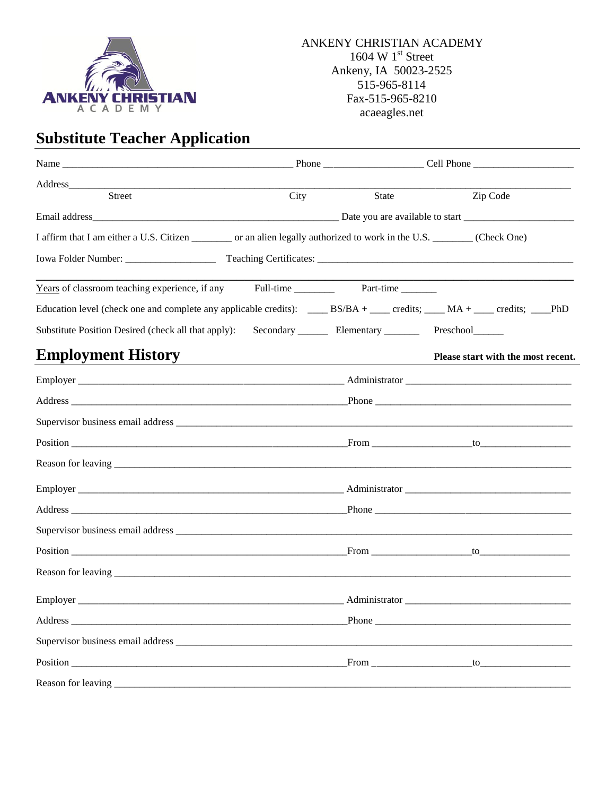

# **Substitute Teacher Application**

| Address_______                                                                                                               |                                                                 |       |  |  |                                    |
|------------------------------------------------------------------------------------------------------------------------------|-----------------------------------------------------------------|-------|--|--|------------------------------------|
| Street                                                                                                                       | City                                                            | State |  |  | Zip Code                           |
|                                                                                                                              |                                                                 |       |  |  |                                    |
| I affirm that I am either a U.S. Citizen __________ or an alien legally authorized to work in the U.S. _________ (Check One) |                                                                 |       |  |  |                                    |
|                                                                                                                              |                                                                 |       |  |  |                                    |
|                                                                                                                              |                                                                 |       |  |  |                                    |
|                                                                                                                              |                                                                 |       |  |  |                                    |
| Substitute Position Desired (check all that apply):                                                                          | Secondary __________ Elementary _____________ Preschool________ |       |  |  |                                    |
| <b>Employment History</b>                                                                                                    |                                                                 |       |  |  | Please start with the most recent. |
|                                                                                                                              |                                                                 |       |  |  |                                    |
|                                                                                                                              |                                                                 |       |  |  |                                    |
|                                                                                                                              |                                                                 |       |  |  |                                    |
|                                                                                                                              |                                                                 |       |  |  |                                    |
|                                                                                                                              |                                                                 |       |  |  |                                    |
|                                                                                                                              |                                                                 |       |  |  |                                    |
|                                                                                                                              |                                                                 |       |  |  |                                    |
|                                                                                                                              |                                                                 |       |  |  |                                    |
|                                                                                                                              |                                                                 |       |  |  |                                    |
|                                                                                                                              |                                                                 |       |  |  |                                    |
|                                                                                                                              |                                                                 |       |  |  |                                    |
|                                                                                                                              |                                                                 |       |  |  |                                    |
|                                                                                                                              |                                                                 |       |  |  |                                    |
|                                                                                                                              |                                                                 |       |  |  |                                    |
|                                                                                                                              |                                                                 |       |  |  |                                    |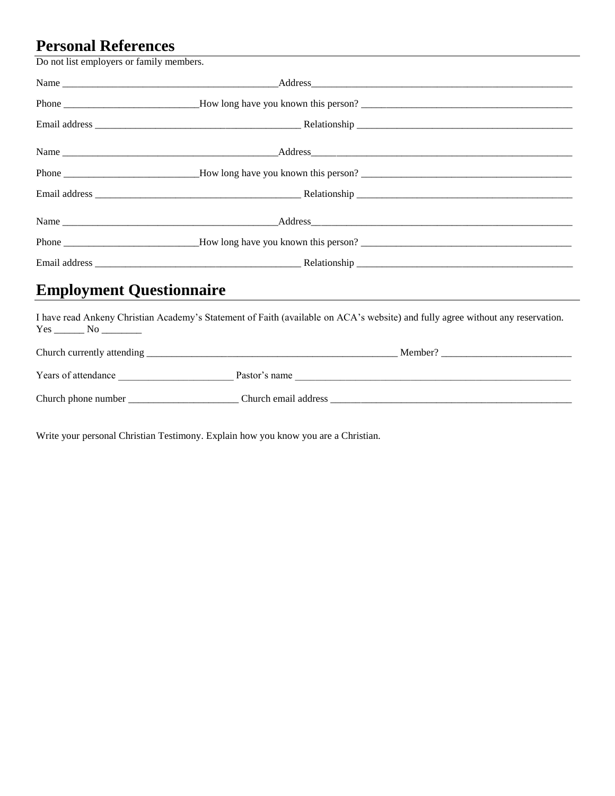## **Personal References**

Do not list employers or family members.

| <b>Employment Questionnaire</b> |  |
|---------------------------------|--|

I have read Ankeny Christian Academy's Statement of Faith (available on ACA's website) and fully agree without any reservation.  $Yes \_\_ No \_\_$ 

| Church currently attending | Member?              |
|----------------------------|----------------------|
| Years of attendance        | Pastor's name        |
| Church phone number        | Church email address |

Write your personal Christian Testimony. Explain how you know you are a Christian.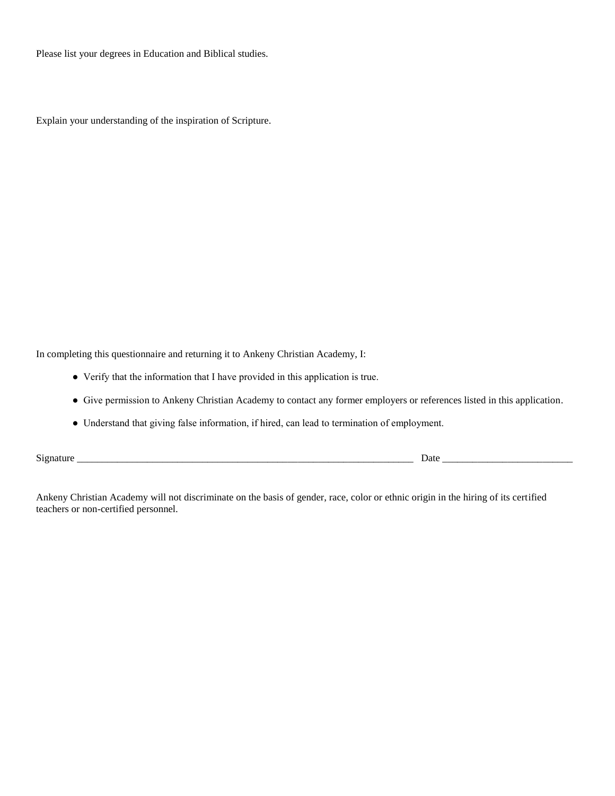Please list your degrees in Education and Biblical studies.

Explain your understanding of the inspiration of Scripture.

In completing this questionnaire and returning it to Ankeny Christian Academy, I:

- Verify that the information that I have provided in this application is true.
- Give permission to Ankeny Christian Academy to contact any former employers or references listed in this application.
- Understand that giving false information, if hired, can lead to termination of employment.

Signature \_\_\_\_\_\_\_\_\_\_\_\_\_\_\_\_\_\_\_\_\_\_\_\_\_\_\_\_\_\_\_\_\_\_\_\_\_\_\_\_\_\_\_\_\_\_\_\_\_\_\_\_\_\_\_\_\_\_\_\_\_\_\_\_\_\_\_ Date \_\_\_\_\_\_\_\_\_\_\_\_\_\_\_\_\_\_\_\_\_\_\_\_\_\_

Ankeny Christian Academy will not discriminate on the basis of gender, race, color or ethnic origin in the hiring of its certified teachers or non-certified personnel.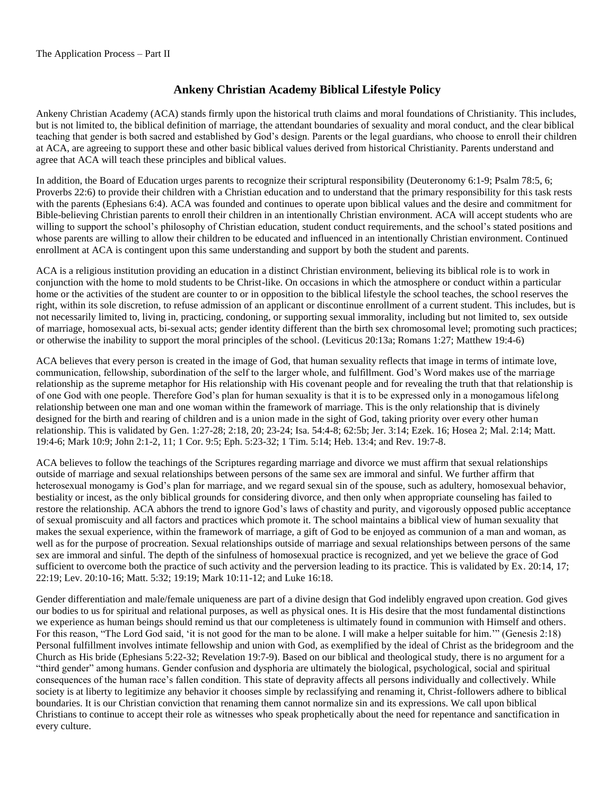### **Ankeny Christian Academy Biblical Lifestyle Policy**

Ankeny Christian Academy (ACA) stands firmly upon the historical truth claims and moral foundations of Christianity. This includes, but is not limited to, the biblical definition of marriage, the attendant boundaries of sexuality and moral conduct, and the clear biblical teaching that gender is both sacred and established by God's design. Parents or the legal guardians, who choose to enroll their children at ACA, are agreeing to support these and other basic biblical values derived from historical Christianity. Parents understand and agree that ACA will teach these principles and biblical values.

In addition, the Board of Education urges parents to recognize their scriptural responsibility (Deuteronomy 6:1-9; Psalm 78:5, 6; Proverbs 22:6) to provide their children with a Christian education and to understand that the primary responsibility for this task rests with the parents (Ephesians 6:4). ACA was founded and continues to operate upon biblical values and the desire and commitment for Bible-believing Christian parents to enroll their children in an intentionally Christian environment. ACA will accept students who are willing to support the school's philosophy of Christian education, student conduct requirements, and the school's stated positions and whose parents are willing to allow their children to be educated and influenced in an intentionally Christian environment. Continued enrollment at ACA is contingent upon this same understanding and support by both the student and parents.

ACA is a religious institution providing an education in a distinct Christian environment, believing its biblical role is to work in conjunction with the home to mold students to be Christ-like. On occasions in which the atmosphere or conduct within a particular home or the activities of the student are counter to or in opposition to the biblical lifestyle the school teaches, the school reserves the right, within its sole discretion, to refuse admission of an applicant or discontinue enrollment of a current student. This includes, but is not necessarily limited to, living in, practicing, condoning, or supporting sexual immorality, including but not limited to, sex outside of marriage, homosexual acts, bi-sexual acts; gender identity different than the birth sex chromosomal level; promoting such practices; or otherwise the inability to support the moral principles of the school. (Leviticus 20:13a; Romans 1:27; Matthew 19:4-6)

ACA believes that every person is created in the image of God, that human sexuality reflects that image in terms of intimate love, communication, fellowship, subordination of the self to the larger whole, and fulfillment. God's Word makes use of the marriage relationship as the supreme metaphor for His relationship with His covenant people and for revealing the truth that that relationship is of one God with one people. Therefore God's plan for human sexuality is that it is to be expressed only in a monogamous lifelong relationship between one man and one woman within the framework of marriage. This is the only relationship that is divinely designed for the birth and rearing of children and is a union made in the sight of God, taking priority over every other human relationship. This is validated by Gen. 1:27-28; 2:18, 20; 23-24; Isa. 54:4-8; 62:5b; Jer. 3:14; Ezek. 16; Hosea 2; Mal. 2:14; Matt. 19:4-6; Mark 10:9; John 2:1-2, 11; 1 Cor. 9:5; Eph. 5:23-32; 1 Tim. 5:14; Heb. 13:4; and Rev. 19:7-8.

ACA believes to follow the teachings of the Scriptures regarding marriage and divorce we must affirm that sexual relationships outside of marriage and sexual relationships between persons of the same sex are immoral and sinful. We further affirm that heterosexual monogamy is God's plan for marriage, and we regard sexual sin of the spouse, such as adultery, homosexual behavior, bestiality or incest, as the only biblical grounds for considering divorce, and then only when appropriate counseling has failed to restore the relationship. ACA abhors the trend to ignore God's laws of chastity and purity, and vigorously opposed public acceptance of sexual promiscuity and all factors and practices which promote it. The school maintains a biblical view of human sexuality that makes the sexual experience, within the framework of marriage, a gift of God to be enjoyed as communion of a man and woman, as well as for the purpose of procreation. Sexual relationships outside of marriage and sexual relationships between persons of the same sex are immoral and sinful. The depth of the sinfulness of homosexual practice is recognized, and yet we believe the grace of God sufficient to overcome both the practice of such activity and the perversion leading to its practice. This is validated by Ex. 20:14, 17; 22:19; Lev. 20:10-16; Matt. 5:32; 19:19; Mark 10:11-12; and Luke 16:18.

Gender differentiation and male/female uniqueness are part of a divine design that God indelibly engraved upon creation. God gives our bodies to us for spiritual and relational purposes, as well as physical ones. It is His desire that the most fundamental distinctions we experience as human beings should remind us that our completeness is ultimately found in communion with Himself and others. For this reason, "The Lord God said, 'it is not good for the man to be alone. I will make a helper suitable for him."" (Genesis 2:18) Personal fulfillment involves intimate fellowship and union with God, as exemplified by the ideal of Christ as the bridegroom and the Church as His bride (Ephesians 5:22-32; Revelation 19:7-9). Based on our biblical and theological study, there is no argument for a "third gender" among humans. Gender confusion and dysphoria are ultimately the biological, psychological, social and spiritual consequences of the human race's fallen condition. This state of depravity affects all persons individually and collectively. While society is at liberty to legitimize any behavior it chooses simple by reclassifying and renaming it, Christ-followers adhere to biblical boundaries. It is our Christian conviction that renaming them cannot normalize sin and its expressions. We call upon biblical Christians to continue to accept their role as witnesses who speak prophetically about the need for repentance and sanctification in every culture.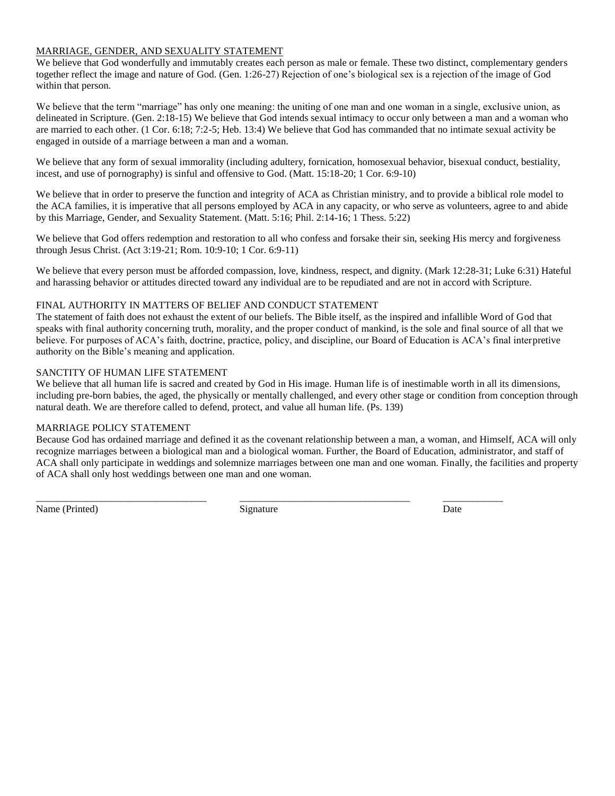#### MARRIAGE, GENDER, AND SEXUALITY STATEMENT

We believe that God wonderfully and immutably creates each person as male or female. These two distinct, complementary genders together reflect the image and nature of God. (Gen. 1:26-27) Rejection of one's biological sex is a rejection of the image of God within that person.

We believe that the term "marriage" has only one meaning: the uniting of one man and one woman in a single, exclusive union, as delineated in Scripture. (Gen. 2:18-15) We believe that God intends sexual intimacy to occur only between a man and a woman who are married to each other. (1 Cor. 6:18; 7:2-5; Heb. 13:4) We believe that God has commanded that no intimate sexual activity be engaged in outside of a marriage between a man and a woman.

We believe that any form of sexual immorality (including adultery, fornication, homosexual behavior, bisexual conduct, bestiality, incest, and use of pornography) is sinful and offensive to God. (Matt. 15:18-20; 1 Cor. 6:9-10)

We believe that in order to preserve the function and integrity of ACA as Christian ministry, and to provide a biblical role model to the ACA families, it is imperative that all persons employed by ACA in any capacity, or who serve as volunteers, agree to and abide by this Marriage, Gender, and Sexuality Statement. (Matt. 5:16; Phil. 2:14-16; 1 Thess. 5:22)

We believe that God offers redemption and restoration to all who confess and forsake their sin, seeking His mercy and forgiveness through Jesus Christ. (Act 3:19-21; Rom. 10:9-10; 1 Cor. 6:9-11)

We believe that every person must be afforded compassion, love, kindness, respect, and dignity. (Mark 12:28-31; Luke 6:31) Hateful and harassing behavior or attitudes directed toward any individual are to be repudiated and are not in accord with Scripture.

#### FINAL AUTHORITY IN MATTERS OF BELIEF AND CONDUCT STATEMENT

The statement of faith does not exhaust the extent of our beliefs. The Bible itself, as the inspired and infallible Word of God that speaks with final authority concerning truth, morality, and the proper conduct of mankind, is the sole and final source of all that we believe. For purposes of ACA's faith, doctrine, practice, policy, and discipline, our Board of Education is ACA's final interpretive authority on the Bible's meaning and application.

#### SANCTITY OF HUMAN LIFE STATEMENT

We believe that all human life is sacred and created by God in His image. Human life is of inestimable worth in all its dimensions, including pre-born babies, the aged, the physically or mentally challenged, and every other stage or condition from conception through natural death. We are therefore called to defend, protect, and value all human life. (Ps. 139)

#### MARRIAGE POLICY STATEMENT

Because God has ordained marriage and defined it as the covenant relationship between a man, a woman, and Himself, ACA will only recognize marriages between a biological man and a biological woman. Further, the Board of Education, administrator, and staff of ACA shall only participate in weddings and solemnize marriages between one man and one woman. Finally, the facilities and property of ACA shall only host weddings between one man and one woman.

Name (Printed) Signature Signature Date Date

\_\_\_\_\_\_\_\_\_\_\_\_\_\_\_\_\_\_\_\_\_\_\_\_\_\_\_\_\_\_\_\_\_\_ \_\_\_\_\_\_\_\_\_\_\_\_\_\_\_\_\_\_\_\_\_\_\_\_\_\_\_\_\_\_\_\_\_\_ \_\_\_\_\_\_\_\_\_\_\_\_